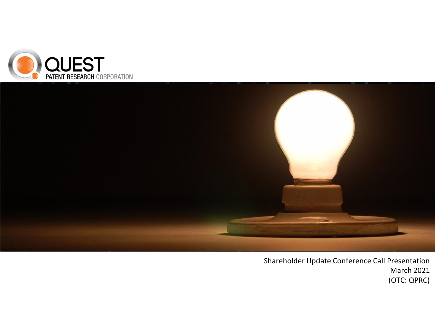



**1** (OTC: QPRC)Shareholder Update Conference Call Presentation March 2021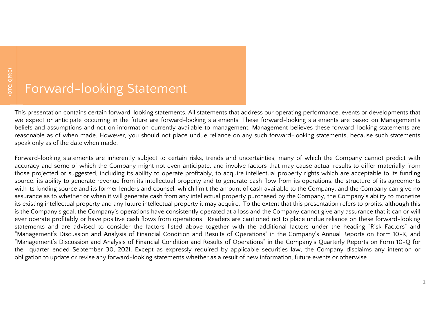### Forward-looking Statement

This presentation contains certain forward-looking statements. All statements that address our operating performance, events or developments that we expect or anticipate occurring in the future are forward-looking statements. These forward-looking statements are based on Management's beliefs and assumptions and not on information currently available to management. Management believes these forward-looking statements are reasonable as of when made. However, you should not place undue reliance on any such forward-looking statements, because such statements speak only as of the date when made.

Forward-looking statements are inherently subject to certain risks, trends and uncertainties, many of which the Company cannot predict with accuracy and some of which the Company might not even anticipate, and involve factors that may cause actual results to differ materially from those projected or suggested, including its ability to operate profitably, to acquire intellectual property rights which are acceptable to its funding source, its ability to generate revenue from its intellectual property and to generate cash flow from its operations, the structure of its agreements with its funding source and its former lenders and counsel, which limit the amount of cash available to the Company, and the Company can give no assurance as to whether or when it will generate cash from any intellectual property purchased by the Company, the Company's ability to monetize its existing intellectual property and any future intellectual property it may acquire. To the extent that this presentation refers to profits, although this is the Company's goal, the Company's operations have consistently operated at a loss and the Company cannot give any assurance that it can or will ever operate profitably or have positive cash flows from operations. Readers are cautioned not to place undue reliance on these forward-looking statements and are advised to consider the factors listed above together with the additional factors under the heading "Risk Factors" and "Management's Discussion and Analysis of Financial Condition and Results of Operations" in the Company's Annual Reports on Form 10-K, and "Management's Discussion and Analysis of Financial Condition and Results of Operations" in the Company's Quarterly Reports on Form 10-Q for the quarter ended September 30, 2021. Except as expressly required by applicable securities law, the Company disclaims any intention or obligation to update or revise any forward-looking statements whether as a result of new information, future events or otherwise.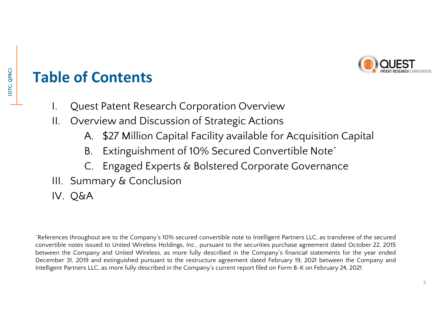

**(OTC: QPRC)**

(OTC: QPRC)

### **Table of Contents**

- I. Quest Patent Research Corporation Overview
- II. Overview and Discussion of Strategic Actions
	- A. \$27 Million Capital Facility available for Acquisition Capital
	- B. Extinguishment of 10% Secured Convertible Note^
	- C. Engaged Experts & Bolstered Corporate Governance
- III. Summary & Conclusion
- IV. Q&A

^References throughout are to the Company's 10% secured convertible note to Intelligent Partners LLC, as transferee of the secured convertible notes issued to United Wireless Holdings, Inc., pursuant to the securities purchase agreement dated October 22, 2015 between the Company and United Wireless, as more fully described in the Company's financial statements for the year ended December 31, 2019 and extinguished pursuant to the restructure agreement dated February 19, 2021 between the Company and Intelligent Partners LLC, as more fully described in the Company's current report filed on Form 8-K on February 24, 2021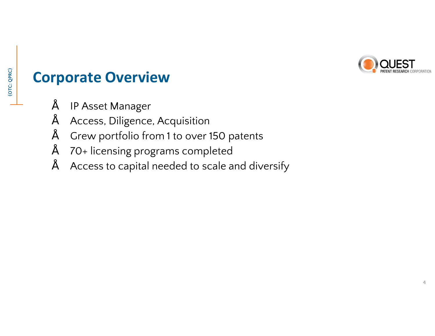

### **Corporate Overview**

- IP Asset Manager
- Access, Diligence, Acquisition
- Grew portfolio from 1 to over 150 patents
- 70+ licensing programs completed
- $"$  Access to capital needed to scale and diversify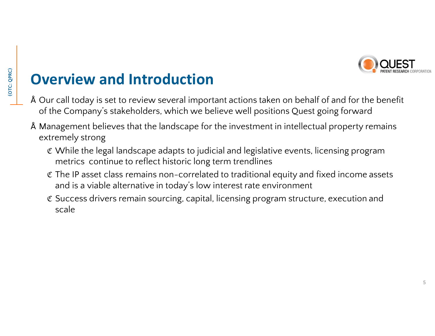

### **Overview and Introduction**

- Our call today is set to review several important actions taken on behalf of and for the benefit of the Company's stakeholders, which we believe well positions Quest going forward
- Management believes that the landscape for the investment in intellectual property remains extremely strong
	- While the legal landscape adapts to judicial and legislative events, licensing program metrics continue to reflect historic long term trendlines
	- The IP asset class remains non-correlated to traditional equity and fixed income assets and is a viable alternative in today's low interest rate environment
	- Success drivers remain sourcing, capital, licensing program structure, execution and scale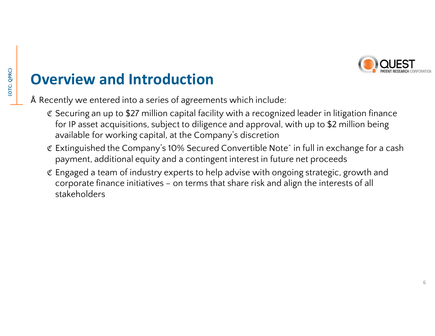

### **Overview and Introduction**

• Recently we entered into a series of agreements which include:

Securing an up to \$27 million capital facility with a recognized leader in litigation finance for IP asset acquisitions, subject to diligence and approval, with up to \$2 million being available for working capital, at the Company's discretion

Extinguished the Company's 10% Secured Convertible Note<sup> $\hat{ }$ </sup> in full in exchange for a cash payment, additional equity and a contingent interest in future net proceeds

Engaged a team of industry experts to help advise with ongoing strategic, growth and corporate finance initiatives – on terms that share risk and align the interests of all stakeholders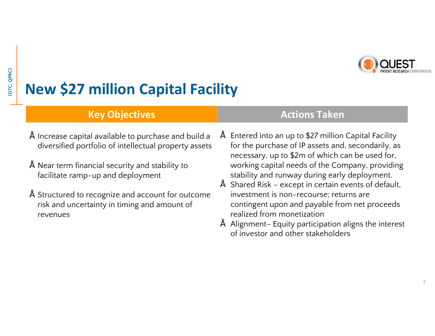

# **New \$27 million Capital Facility**

### **Key Objectives Actions Taken**

- Increase capital available to purchase and build a diversified portfolio of intellectual property assets
- Near term financial security and stability to facilitate ramp-up and deployment
- Structured to recognize and account for outcome risk and uncertainty in timing and amount of revenues
- 
- Entered into an up to \$27 million Capital Facility for the purchase of IP assets and, secondarily, as necessary, up to \$2m of which can be used for, working capital needs of the Company, providing stability and runway during early deployment.
- Shared Risk except in certain events of default, investment is non-recourse; returns are contingent upon and payable from net proceeds realized from monetization
- Alignment– Equity participation aligns the interest of investor and other stakeholders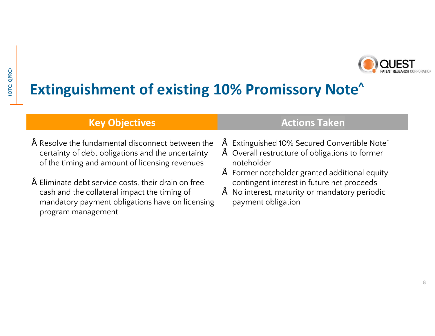

## **Extinguishment of existing 10% Promissory Note^**

#### **Key Objectives Actions Taken**

- Resolve the fundamental disconnect between the certainty of debt obligations and the uncertainty of the timing and amount of licensing revenues
- Eliminate debt service costs, their drain on free cash and the collateral impact the timing of mandatory payment obligations have on licensing program management

- Extinguished 10% Secured Convertible Note^
- Overall restructure of obligations to former noteholder
- Former noteholder granted additional equity contingent interest in future net proceeds
- No interest, maturity or mandatory periodic payment obligation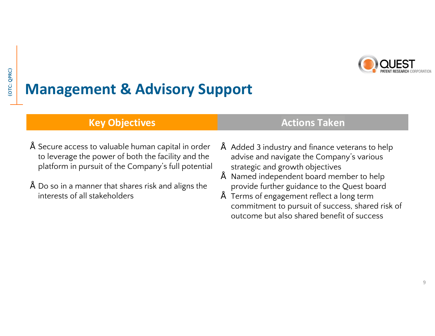

## **Management & Advisory Support**

#### **Key Objectives Actions Taken**

- Secure access to valuable human capital in order to leverage the power of both the facility and the platform in pursuit of the Company's full potential
- Do so in a manner that shares risk and aligns the interests of all stakeholders

- Added 3 industry and finance veterans to help advise and navigate the Company's various strategic and growth objectives
- Named independent board member to help provide further guidance to the Quest board
- Terms of engagement reflect a long term commitment to pursuit of success, shared risk of outcome but also shared benefit of success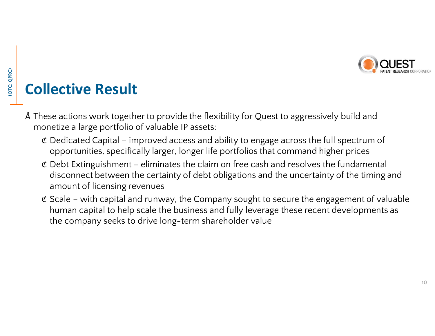

### **Collective Result**

• These actions work together to provide the flexibility for Quest to aggressively build and monetize a large portfolio of valuable IP assets:

Dedicated Capital – improved access and ability to engage across the full spectrum of opportunities, specifically larger, longer life portfolios that command higher prices Debt Extinguishment – eliminates the claim on free cash and resolves the fundamental disconnect between the certainty of debt obligations and the uncertainty of the timing and amount of licensing revenues

Scale - with capital and runway, the Company sought to secure the engagement of valuable human capital to help scale the business and fully leverage these recent developments as the company seeks to drive long-term shareholder value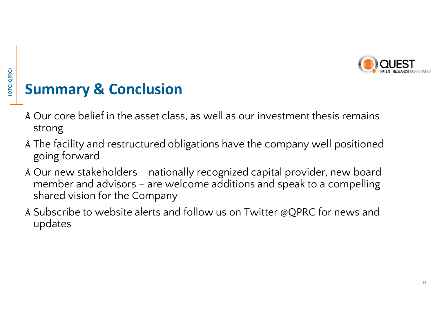

### **Summary & Conclusion**

- Our core belief in the asset class, as well as our investment thesis remains strong
- The facility and restructured obligations have the company well positioned going forward
- Our new stakeholders nationally recognized capital provider, new board member and advisors – are welcome additions and speak to a compelling shared vision for the Company
- Subscribe to website alerts and follow us on Twitter @QPRC for news and updates